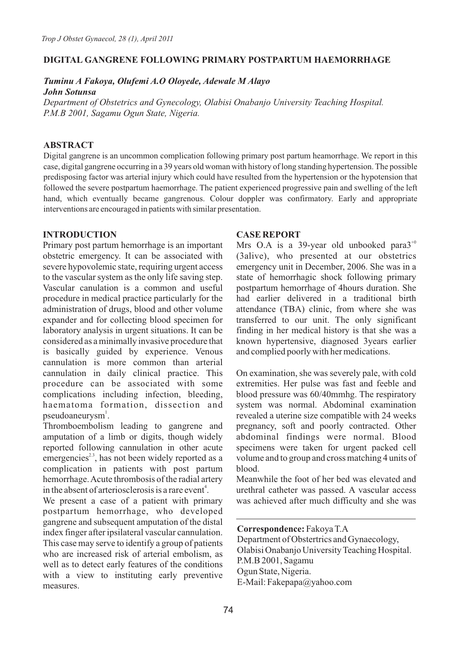## **DIGITAL GANGRENE FOLLOWING PRIMARY POSTPARTUM HAEMORRHAGE**

# *Tuminu A Fakoya, Olufemi A.O Oloyede, Adewale M Alayo John Sotunsa*

*Department of Obstetrics and Gynecology, Olabisi Onabanjo University Teaching Hospital. P.M.B 2001, Sagamu Ogun State, Nigeria.*

## **ABSTRACT**

Digital gangrene is an uncommon complication following primary post partum heamorrhage. We report in this case, digital gangrene occurring in a 39 years old woman with history of long standing hypertension. The possible predisposing factor was arterial injury which could have resulted from the hypertension or the hypotension that followed the severe postpartum haemorrhage. The patient experienced progressive pain and swelling of the left hand, which eventually became gangrenous. Colour doppler was confirmatory. Early and appropriate interventions are encouraged in patients with similar presentation.

#### **INTRODUCTION**

Primary post partum hemorrhage is an important obstetric emergency. It can be associated with severe hypovolemic state, requiring urgent access to the vascular system as the only life saving step. Vascular canulation is a common and useful procedure in medical practice particularly for the administration of drugs, blood and other volume expander and for collecting blood specimen for laboratory analysis in urgent situations. It can be considered as a minimally invasive procedure that is basically guided by experience. Venous cannulation is more common than arterial cannulation in daily clinical practice. This procedure can be associated with some complications including infection, bleeding, haematoma formation, dissection and pseudoaneurysm<sup>1</sup>.

Thromboembolism leading to gangrene and amputation of a limb or digits, though widely reported following cannulation in other acute emergencies<sup>23</sup>, has not been widely reported as a complication in patients with post partum hemorrhage. Acute thrombosis of the radial artery in the absent of arteriosclerosis is a rare event<sup>4</sup>.

We present a case of a patient with primary postpartum hemorrhage, who developed gangrene and subsequent amputation of the distal index finger after ipsilateral vascular cannulation. This case may serve to identify a group of patients who are increased risk of arterial embolism, as well as to detect early features of the conditions with a view to instituting early preventive measures.

# **CASE REPORT**

Mrs O.A is a 39-year old unbooked para $3^{10}$ (3alive), who presented at our obstetrics emergency unit in December, 2006. She was in a state of hemorrhagic shock following primary postpartum hemorrhage of 4hours duration. She had earlier delivered in a traditional birth attendance (TBA) clinic, from where she was transferred to our unit. The only significant finding in her medical history is that she was a known hypertensive, diagnosed 3years earlier and complied poorly with her medications.

On examination, she was severely pale, with cold extremities. Her pulse was fast and feeble and blood pressure was 60/40mmhg. The respiratory system was normal. Abdominal examination revealed a uterine size compatible with 24 weeks pregnancy, soft and poorly contracted. Other abdominal findings were normal. Blood specimens were taken for urgent packed cell volume and to group and cross matching 4 units of blood.

Meanwhile the foot of her bed was elevated and urethral catheter was passed. A vascular access was achieved after much difficulty and she was

**Correspondence:** Fakoya T.A

Department of Obstertrics and Gynaecology, Olabisi Onabanjo University Teaching Hospital. P.M.B 2001, Sagamu Ogun State, Nigeria. E-Mail: Fakepapa@yahoo.com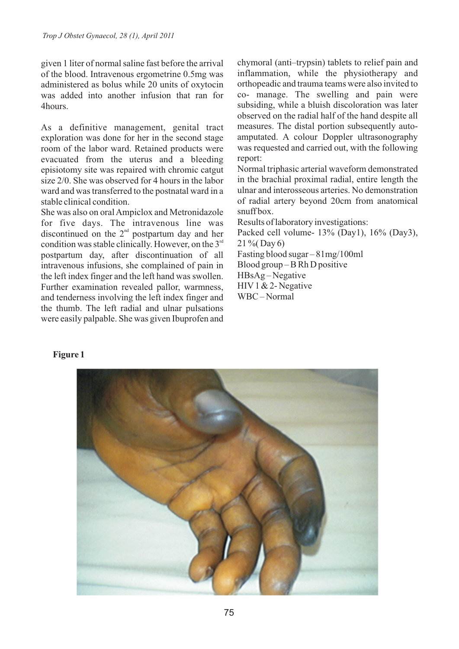given 1 liter of normal saline fast before the arrival of the blood. Intravenous ergometrine 0.5mg was administered as bolus while 20 units of oxytocin was added into another infusion that ran for 4hours.

As a definitive management, genital tract exploration was done for her in the second stage room of the labor ward. Retained products were evacuated from the uterus and a bleeding episiotomy site was repaired with chromic catgut size 2/0. She was observed for 4 hours in the labor ward and was transferred to the postnatal ward in a stable clinical condition.

She was also on oral Ampiclox and Metronidazole for five days. The intravenous line was discontinued on the  $2<sup>nd</sup>$  postpartum day and her condition was stable clinically. However, on the  $3<sup>rd</sup>$ postpartum day, after discontinuation of all intravenous infusions, she complained of pain in the left index finger and the left hand was swollen. Further examination revealed pallor, warmness, and tenderness involving the left index finger and the thumb. The left radial and ulnar pulsations were easily palpable. She was given Ibuprofen and chymoral (anti–trypsin) tablets to relief pain and inflammation, while the physiotherapy and orthopeadic and trauma teams were also invited to co- manage. The swelling and pain were subsiding, while a bluish discoloration was later observed on the radial half of the hand despite all measures. The distal portion subsequently autoamputated. A colour Doppler ultrasonography was requested and carried out, with the following report:

Normal triphasic arterial waveform demonstrated in the brachial proximal radial, entire length the ulnar and interosseous arteries. No demonstration of radial artery beyond 20cm from anatomical snuff box.

Results of laboratory investigations:

Packed cell volume- 13% (Day1), 16% (Day3), 21 %( Day 6)

Fasting blood sugar – 81mg/100ml Blood group – B Rh D positive HBsAg – Negative HIV1 & 2- Negative WBC – Normal